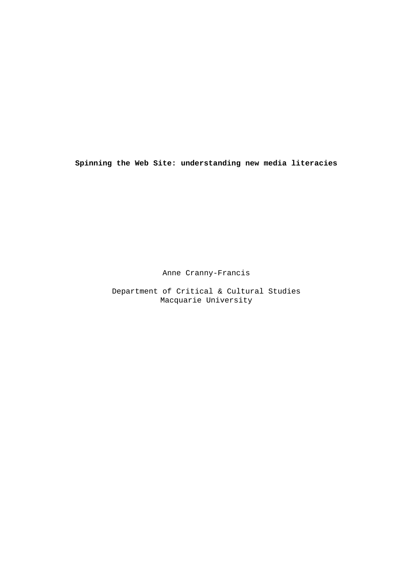**Spinning the Web Site: understanding new media literacies**

Anne Cranny-Francis

Department of Critical & Cultural Studies Macquarie University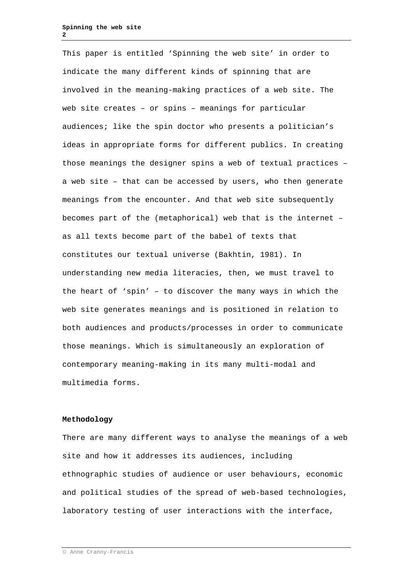This paper is entitled 'Spinning the web site' in order to indicate the many different kinds of spinning that are involved in the meaning-making practices of a web site. The web site creates – or spins – meanings for particular audiences; like the spin doctor who presents a politician's ideas in appropriate forms for different publics. In creating those meanings the designer spins a web of textual practices – a web site – that can be accessed by users, who then generate meanings from the encounter. And that web site subsequently becomes part of the (metaphorical) web that is the internet – as all texts become part of the babel of texts that constitutes our textual universe (Bakhtin, 1981). In understanding new media literacies, then, we must travel to the heart of 'spin' – to discover the many ways in which the web site generates meanings and is positioned in relation to both audiences and products/processes in order to communicate those meanings. Which is simultaneously an exploration of contemporary meaning-making in its many multi-modal and multimedia forms.

## **Methodology**

There are many different ways to analyse the meanings of a web site and how it addresses its audiences, including ethnographic studies of audience or user behaviours, economic and political studies of the spread of web-based technologies, laboratory testing of user interactions with the interface,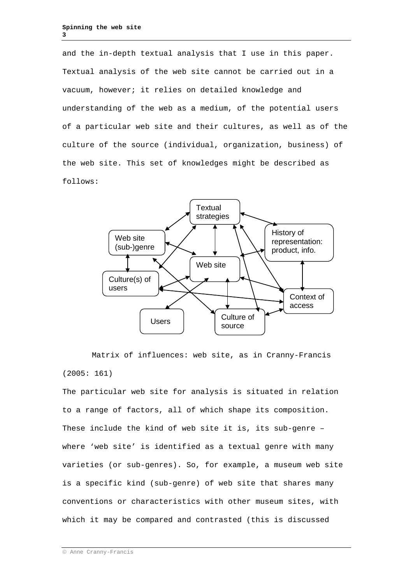and the in-depth textual analysis that I use in this paper. Textual analysis of the web site cannot be carried out in a vacuum, however; it relies on detailed knowledge and understanding of the web as a medium, of the potential users of a particular web site and their cultures, as well as of the culture of the source (individual, organization, business) of the web site. This set of knowledges might be described as follows:



Matrix of influences: web site, as in Cranny-Francis (2005: 161)

The particular web site for analysis is situated in relation to a range of factors, all of which shape its composition. These include the kind of web site it is, its sub-genre – where 'web site' is identified as a textual genre with many varieties (or sub-genres). So, for example, a museum web site is a specific kind (sub-genre) of web site that shares many conventions or characteristics with other museum sites, with which it may be compared and contrasted (this is discussed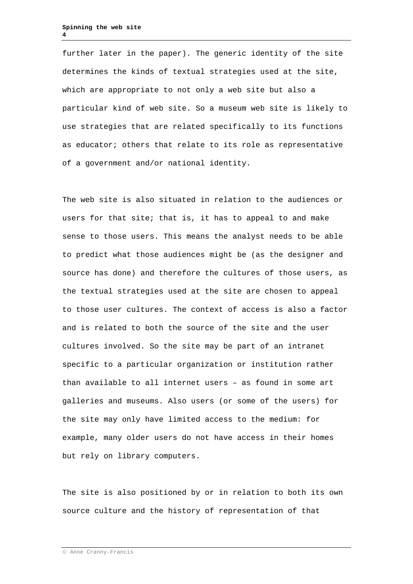further later in the paper). The generic identity of the site determines the kinds of textual strategies used at the site, which are appropriate to not only a web site but also a particular kind of web site. So a museum web site is likely to use strategies that are related specifically to its functions as educator; others that relate to its role as representative of a government and/or national identity.

The web site is also situated in relation to the audiences or users for that site; that is, it has to appeal to and make sense to those users. This means the analyst needs to be able to predict what those audiences might be (as the designer and source has done) and therefore the cultures of those users, as the textual strategies used at the site are chosen to appeal to those user cultures. The context of access is also a factor and is related to both the source of the site and the user cultures involved. So the site may be part of an intranet specific to a particular organization or institution rather than available to all internet users – as found in some art galleries and museums. Also users (or some of the users) for the site may only have limited access to the medium: for example, many older users do not have access in their homes but rely on library computers.

The site is also positioned by or in relation to both its own source culture and the history of representation of that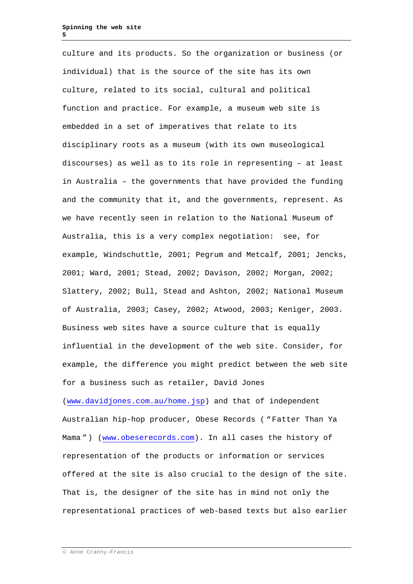culture and its products. So the organization or business (or individual) that is the source of the site has its own culture, related to its social, cultural and political function and practice. For example, a museum web site is embedded in a set of imperatives that relate to its disciplinary roots as a museum (with its own museological discourses) as well as to its role in representing – at least in Australia – the governments that have provided the funding and the community that it, and the governments, represent. As we have recently seen in relation to the National Museum of Australia, this is a very complex negotiation: see, for example, Windschuttle, 2001; Pegrum and Metcalf, 2001; Jencks, 2001; Ward, 2001; Stead, 2002; Davison, 2002; Morgan, 2002; Slattery, 2002; Bull, Stead and Ashton, 2002; National Museum of Australia, 2003; Casey, 2002; Atwood, 2003; Keniger, 2003. Business web sites have a source culture that is equally influential in the development of the web site. Consider, for example, the difference you might predict between the web site for a business such as retailer, David Jones [\(www.davidjones.com.au/home.jsp\)](http://www.davidjones.com.au/home.jsp) and that of independent Australian hip-hop producer, Obese Records ( "Fatter Than Ya Mama ") [\(www.obeserecords.com\)](http://www.obeserecords.com/). In all cases the history of representation of the products or information or services offered at the site is also crucial to the design of the site. That is, the designer of the site has in mind not only the representational practices of web-based texts but also earlier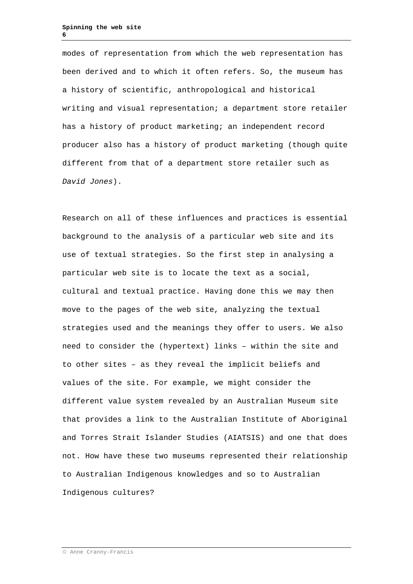modes of representation from which the web representation has been derived and to which it often refers. So, the museum has a history of scientific, anthropological and historical writing and visual representation; a department store retailer has a history of product marketing; an independent record producer also has a history of product marketing (though quite different from that of a department store retailer such as *David Jones*).

Research on all of these influences and practices is essential background to the analysis of a particular web site and its use of textual strategies. So the first step in analysing a particular web site is to locate the text as a social, cultural and textual practice. Having done this we may then move to the pages of the web site, analyzing the textual strategies used and the meanings they offer to users. We also need to consider the (hypertext) links – within the site and to other sites – as they reveal the implicit beliefs and values of the site. For example, we might consider the different value system revealed by an Australian Museum site that provides a link to the Australian Institute of Aboriginal and Torres Strait Islander Studies (AIATSIS) and one that does not. How have these two museums represented their relationship to Australian Indigenous knowledges and so to Australian Indigenous cultures?

Anne Cranny-Francis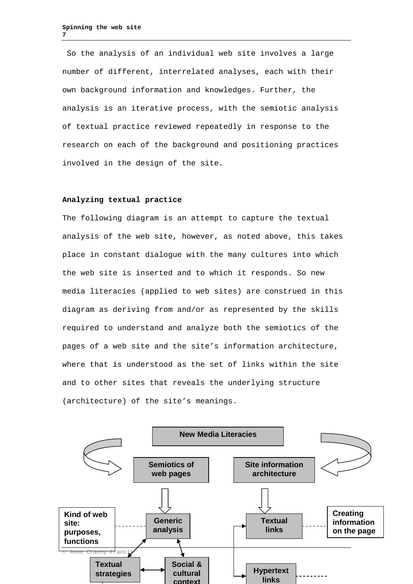So the analysis of an individual web site involves a large number of different, interrelated analyses, each with their own background information and knowledges. Further, the analysis is an iterative process, with the semiotic analysis of textual practice reviewed repeatedly in response to the research on each of the background and positioning practices involved in the design of the site.

### **Analyzing textual practice**

The following diagram is an attempt to capture the textual analysis of the web site, however, as noted above, this takes place in constant dialogue with the many cultures into which the web site is inserted and to which it responds. So new media literacies (applied to web sites) are construed in this diagram as deriving from and/or as represented by the skills required to understand and analyze both the semiotics of the pages of a web site and the site's information architecture, where that is understood as the set of links within the site and to other sites that reveals the underlying structure (architecture) of the site's meanings.

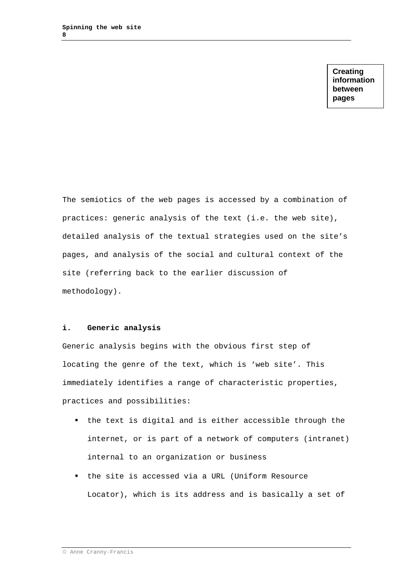**Creating information between pages**

The semiotics of the web pages is accessed by a combination of practices: generic analysis of the text (i.e. the web site), detailed analysis of the textual strategies used on the site's pages, and analysis of the social and cultural context of the site (referring back to the earlier discussion of methodology).

## **i. Generic analysis**

Generic analysis begins with the obvious first step of locating the genre of the text, which is 'web site'. This immediately identifies a range of characteristic properties, practices and possibilities:

- the text is digital and is either accessible through the internet, or is part of a network of computers (intranet) internal to an organization or business
- the site is accessed via a URL (Uniform Resource Locator), which is its address and is basically a set of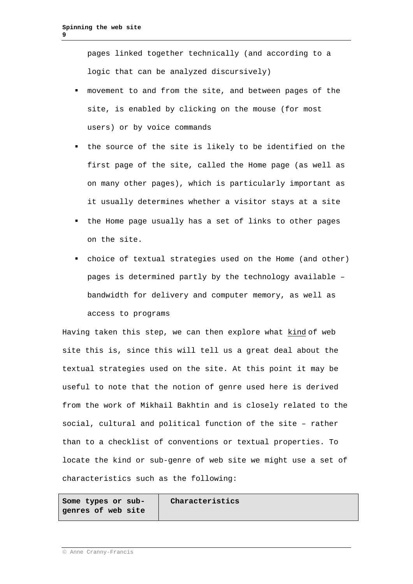pages linked together technically (and according to a logic that can be analyzed discursively)

- movement to and from the site, and between pages of the site, is enabled by clicking on the mouse (for most users) or by voice commands
- the source of the site is likely to be identified on the first page of the site, called the Home page (as well as on many other pages), which is particularly important as it usually determines whether a visitor stays at a site
- the Home page usually has a set of links to other pages on the site.
- choice of textual strategies used on the Home (and other) pages is determined partly by the technology available – bandwidth for delivery and computer memory, as well as access to programs

Having taken this step, we can then explore what kind of web site this is, since this will tell us a great deal about the textual strategies used on the site. At this point it may be useful to note that the notion of genre used here is derived from the work of Mikhail Bakhtin and is closely related to the social, cultural and political function of the site – rather than to a checklist of conventions or textual properties. To locate the kind or sub-genre of web site we might use a set of characteristics such as the following:

**Some types or subgenres of web site** **Characteristics** 

Anne Cranny-Francis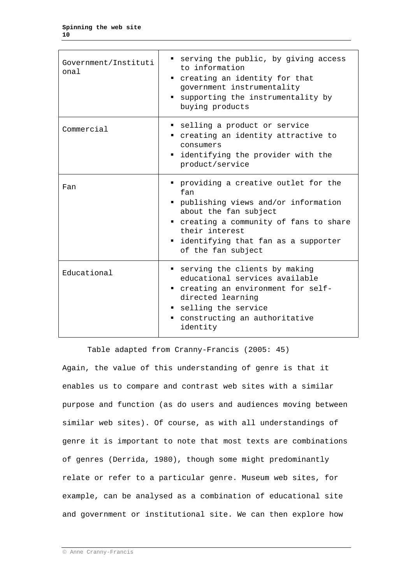| Government/Instituti<br>onal | serving the public, by giving access<br>to information<br>creating an identity for that<br>٠<br>government instrumentality<br>supporting the instrumentality by<br>buying products                                                         |
|------------------------------|--------------------------------------------------------------------------------------------------------------------------------------------------------------------------------------------------------------------------------------------|
| Commercial                   | selling a product or service<br>" creating an identity attractive to<br>consumers<br>" identifying the provider with the<br>product/service                                                                                                |
| Fan                          | " providing a creative outlet for the<br>fan<br>" publishing views and/or information<br>about the fan subject<br>" creating a community of fans to share<br>their interest<br>" identifying that fan as a supporter<br>of the fan subject |
| Educational                  | serving the clients by making<br>educational services available<br>" creating an environment for self-<br>directed learning<br>selling the service<br>constructing an authoritative<br>. .<br>identity                                     |

Table adapted from Cranny-Francis (2005: 45) Again, the value of this understanding of genre is that it enables us to compare and contrast web sites with a similar purpose and function (as do users and audiences moving between similar web sites). Of course, as with all understandings of genre it is important to note that most texts are combinations of genres (Derrida, 1980), though some might predominantly relate or refer to a particular genre. Museum web sites, for example, can be analysed as a combination of educational site and government or institutional site. We can then explore how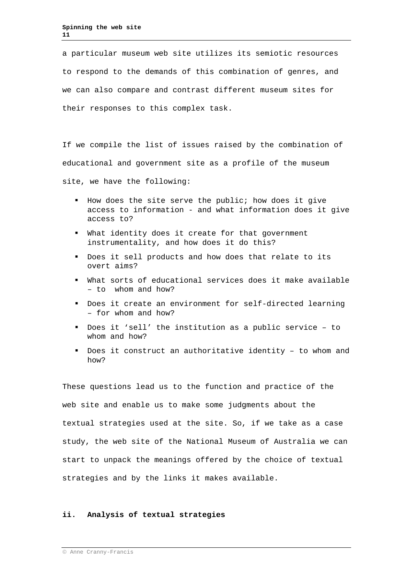a particular museum web site utilizes its semiotic resources to respond to the demands of this combination of genres, and we can also compare and contrast different museum sites for their responses to this complex task.

If we compile the list of issues raised by the combination of educational and government site as a profile of the museum

site, we have the following:

- How does the site serve the public; how does it give access to information - and what information does it give access to?
- What identity does it create for that government instrumentality, and how does it do this?
- Does it sell products and how does that relate to its overt aims?
- What sorts of educational services does it make available – to whom and how?
- Does it create an environment for self-directed learning – for whom and how?
- Does it 'sell' the institution as a public service to whom and how?
- Does it construct an authoritative identity to whom and how?

These questions lead us to the function and practice of the web site and enable us to make some judgments about the textual strategies used at the site. So, if we take as a case study, the web site of the National Museum of Australia we can start to unpack the meanings offered by the choice of textual strategies and by the links it makes available.

### **ii. Analysis of textual strategies**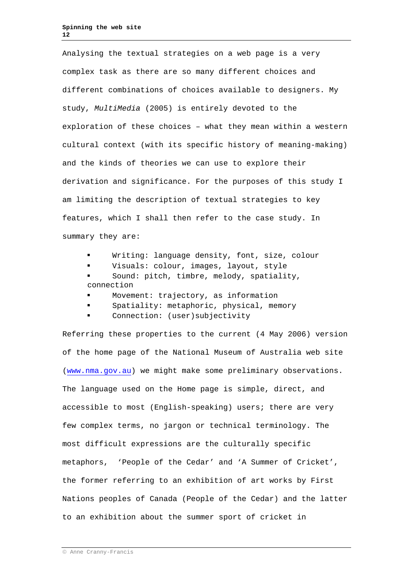Analysing the textual strategies on a web page is a very complex task as there are so many different choices and different combinations of choices available to designers. My study, *MultiMedia* (2005) is entirely devoted to the exploration of these choices – what they mean within a western cultural context (with its specific history of meaning-making) and the kinds of theories we can use to explore their derivation and significance. For the purposes of this study I am limiting the description of textual strategies to key features, which I shall then refer to the case study. In summary they are:

- Writing: language density, font, size, colour
- Visuals: colour, images, layout, style
- Sound: pitch, timbre, melody, spatiality, connection
- Movement: trajectory, as information
- Spatiality: metaphoric, physical, memory
- Connection: (user)subjectivity

Referring these properties to the current (4 May 2006) version of the home page of the National Museum of Australia web site [\(www.nma.gov.au\)](http://www.nma.gov.au/) we might make some preliminary observations. The language used on the Home page is simple, direct, and accessible to most (English-speaking) users; there are very few complex terms, no jargon or technical terminology. The most difficult expressions are the culturally specific metaphors, 'People of the Cedar' and 'A Summer of Cricket', the former referring to an exhibition of art works by First Nations peoples of Canada (People of the Cedar) and the latter to an exhibition about the summer sport of cricket in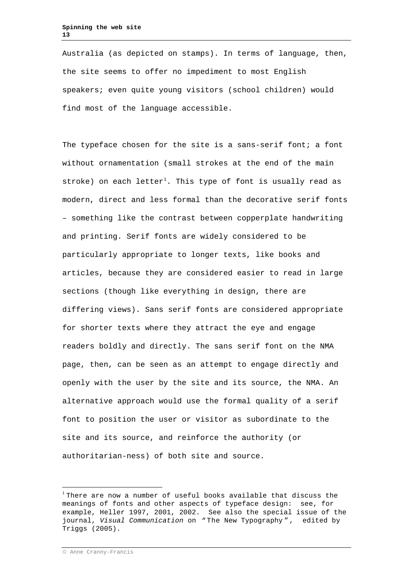Australia (as depicted on stamps). In terms of language, then, the site seems to offer no impediment to most English speakers; even quite young visitors (school children) would find most of the language accessible.

The typeface chosen for the site is a sans-serif font; a font without ornamentation (small strokes at the end of the main stroke) on each  $letter^{1}$  $letter^{1}$  $letter^{1}$ . This type of font is usually read as modern, direct and less formal than the decorative serif fonts – something like the contrast between copperplate handwriting and printing. Serif fonts are widely considered to be particularly appropriate to longer texts, like books and articles, because they are considered easier to read in large sections (though like everything in design, there are differing views). Sans serif fonts are considered appropriate for shorter texts where they attract the eye and engage readers boldly and directly. The sans serif font on the NMA page, then, can be seen as an attempt to engage directly and openly with the user by the site and its source, the NMA. An alternative approach would use the formal quality of a serif font to position the user or visitor as subordinate to the site and its source, and reinforce the authority (or authoritarian-ness) of both site and source.

<span id="page-12-0"></span> $1$  There are now a number of useful books available that discuss the meanings of fonts and other aspects of typeface design: see, for example, Heller 1997, 2001, 2002. See also the special issue of the journal, *Visual Communication* on " The New Typography " , edited by Triggs (2005).

Anne Cranny-Francis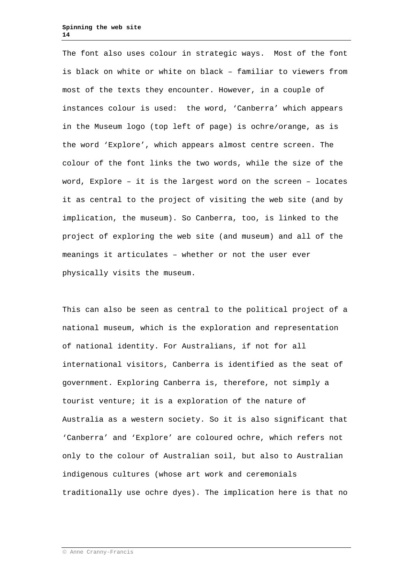The font also uses colour in strategic ways. Most of the font is black on white or white on black – familiar to viewers from most of the texts they encounter. However, in a couple of instances colour is used: the word, 'Canberra' which appears in the Museum logo (top left of page) is ochre/orange, as is the word 'Explore', which appears almost centre screen. The colour of the font links the two words, while the size of the word, Explore – it is the largest word on the screen – locates it as central to the project of visiting the web site (and by implication, the museum). So Canberra, too, is linked to the project of exploring the web site (and museum) and all of the meanings it articulates – whether or not the user ever physically visits the museum.

This can also be seen as central to the political project of a national museum, which is the exploration and representation of national identity. For Australians, if not for all international visitors, Canberra is identified as the seat of government. Exploring Canberra is, therefore, not simply a tourist venture; it is a exploration of the nature of Australia as a western society. So it is also significant that 'Canberra' and 'Explore' are coloured ochre, which refers not only to the colour of Australian soil, but also to Australian indigenous cultures (whose art work and ceremonials traditionally use ochre dyes). The implication here is that no

Anne Cranny-Francis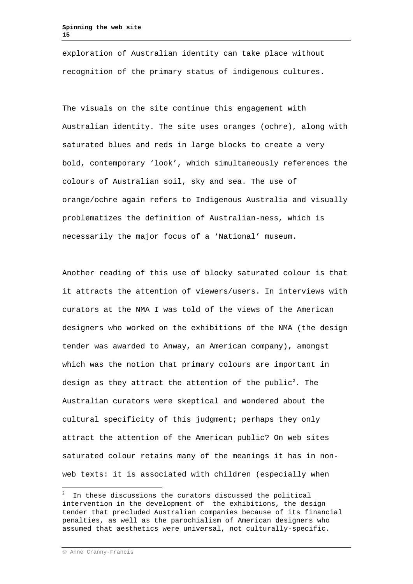exploration of Australian identity can take place without recognition of the primary status of indigenous cultures.

The visuals on the site continue this engagement with Australian identity. The site uses oranges (ochre), along with saturated blues and reds in large blocks to create a very bold, contemporary 'look', which simultaneously references the colours of Australian soil, sky and sea. The use of orange/ochre again refers to Indigenous Australia and visually problematizes the definition of Australian-ness, which is necessarily the major focus of a 'National' museum.

Another reading of this use of blocky saturated colour is that it attracts the attention of viewers/users. In interviews with curators at the NMA I was told of the views of the American designers who worked on the exhibitions of the NMA (the design tender was awarded to Anway, an American company), amongst which was the notion that primary colours are important in design as they attract the attention of the  ${\tt public}^2.$  ${\tt public}^2.$  ${\tt public}^2.$  The Australian curators were skeptical and wondered about the cultural specificity of this judgment; perhaps they only attract the attention of the American public? On web sites saturated colour retains many of the meanings it has in nonweb texts: it is associated with children (especially when

<span id="page-14-0"></span> $\frac{1}{2}$  $10^{-2}$  In these discussions the curators discussed the political intervention in the development of the exhibitions, the design tender that precluded Australian companies because of its financial penalties, as well as the parochialism of American designers who assumed that aesthetics were universal, not culturally-specific.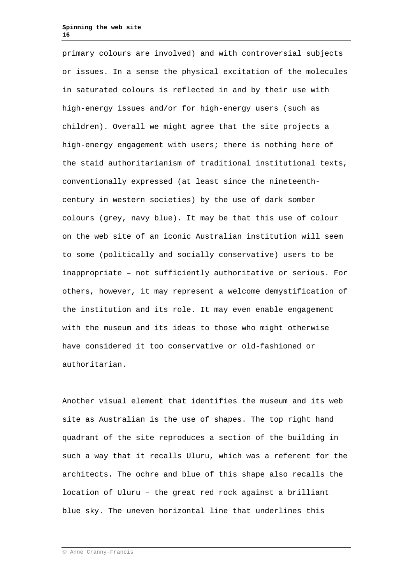primary colours are involved) and with controversial subjects or issues. In a sense the physical excitation of the molecules in saturated colours is reflected in and by their use with high-energy issues and/or for high-energy users (such as children). Overall we might agree that the site projects a high-energy engagement with users; there is nothing here of the staid authoritarianism of traditional institutional texts, conventionally expressed (at least since the nineteenthcentury in western societies) by the use of dark somber colours (grey, navy blue). It may be that this use of colour on the web site of an iconic Australian institution will seem to some (politically and socially conservative) users to be inappropriate – not sufficiently authoritative or serious. For others, however, it may represent a welcome demystification of the institution and its role. It may even enable engagement with the museum and its ideas to those who might otherwise have considered it too conservative or old-fashioned or authoritarian.

Another visual element that identifies the museum and its web site as Australian is the use of shapes. The top right hand quadrant of the site reproduces a section of the building in such a way that it recalls Uluru, which was a referent for the architects. The ochre and blue of this shape also recalls the location of Uluru – the great red rock against a brilliant blue sky. The uneven horizontal line that underlines this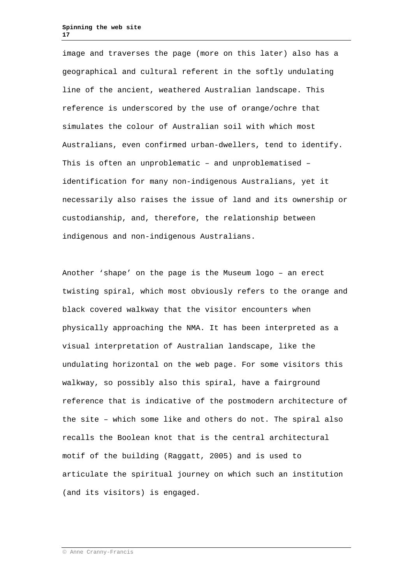image and traverses the page (more on this later) also has a geographical and cultural referent in the softly undulating line of the ancient, weathered Australian landscape. This reference is underscored by the use of orange/ochre that simulates the colour of Australian soil with which most Australians, even confirmed urban-dwellers, tend to identify. This is often an unproblematic – and unproblematised – identification for many non-indigenous Australians, yet it necessarily also raises the issue of land and its ownership or custodianship, and, therefore, the relationship between indigenous and non-indigenous Australians.

Another 'shape' on the page is the Museum logo – an erect twisting spiral, which most obviously refers to the orange and black covered walkway that the visitor encounters when physically approaching the NMA. It has been interpreted as a visual interpretation of Australian landscape, like the undulating horizontal on the web page. For some visitors this walkway, so possibly also this spiral, have a fairground reference that is indicative of the postmodern architecture of the site – which some like and others do not. The spiral also recalls the Boolean knot that is the central architectural motif of the building (Raggatt, 2005) and is used to articulate the spiritual journey on which such an institution (and its visitors) is engaged.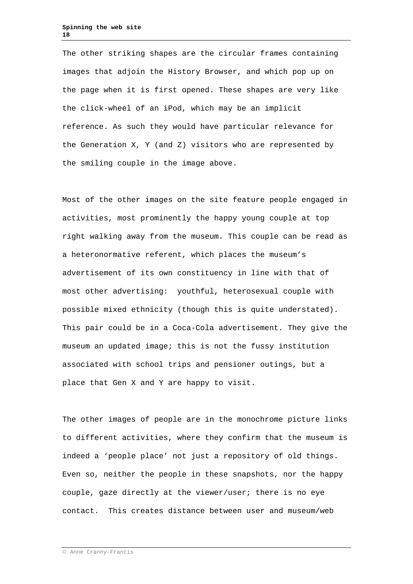The other striking shapes are the circular frames containing images that adjoin the History Browser, and which pop up on the page when it is first opened. These shapes are very like the click-wheel of an iPod, which may be an implicit reference. As such they would have particular relevance for the Generation X, Y (and Z) visitors who are represented by the smiling couple in the image above.

Most of the other images on the site feature people engaged in activities, most prominently the happy young couple at top right walking away from the museum. This couple can be read as a heteronormative referent, which places the museum's advertisement of its own constituency in line with that of most other advertising: youthful, heterosexual couple with possible mixed ethnicity (though this is quite understated). This pair could be in a Coca-Cola advertisement. They give the museum an updated image; this is not the fussy institution associated with school trips and pensioner outings, but a place that Gen X and Y are happy to visit.

The other images of people are in the monochrome picture links to different activities, where they confirm that the museum is indeed a 'people place' not just a repository of old things. Even so, neither the people in these snapshots, nor the happy couple, gaze directly at the viewer/user; there is no eye contact. This creates distance between user and museum/web

Anne Cranny-Francis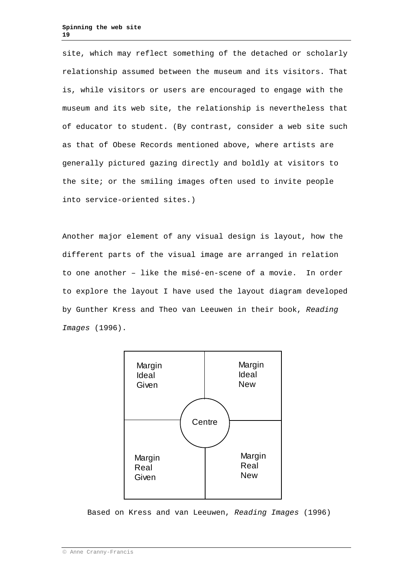site, which may reflect something of the detached or scholarly relationship assumed between the museum and its visitors. That is, while visitors or users are encouraged to engage with the museum and its web site, the relationship is nevertheless that of educator to student. (By contrast, consider a web site such as that of Obese Records mentioned above, where artists are generally pictured gazing directly and boldly at visitors to the site; or the smiling images often used to invite people into service-oriented sites.)

Another major element of any visual design is layout, how the different parts of the visual image are arranged in relation to one another – like the misé-en-scene of a movie. In order to explore the layout I have used the layout diagram developed by Gunther Kress and Theo van Leeuwen in their book, *Reading Images* (1996).



Based on Kress and van Leeuwen, *Reading Images* (1996)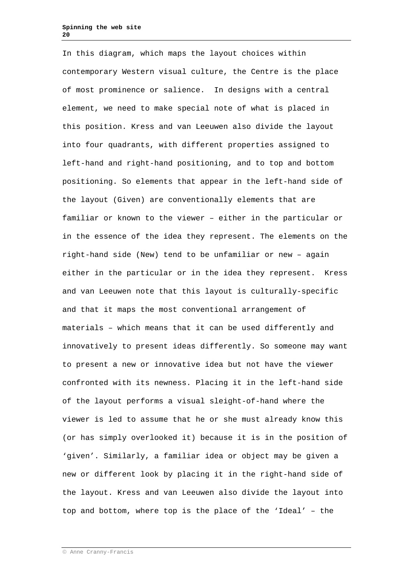In this diagram, which maps the layout choices within contemporary Western visual culture, the Centre is the place of most prominence or salience. In designs with a central element, we need to make special note of what is placed in this position. Kress and van Leeuwen also divide the layout into four quadrants, with different properties assigned to left-hand and right-hand positioning, and to top and bottom positioning. So elements that appear in the left-hand side of the layout (Given) are conventionally elements that are familiar or known to the viewer – either in the particular or in the essence of the idea they represent. The elements on the right-hand side (New) tend to be unfamiliar or new – again either in the particular or in the idea they represent. Kress and van Leeuwen note that this layout is culturally-specific and that it maps the most conventional arrangement of materials – which means that it can be used differently and innovatively to present ideas differently. So someone may want to present a new or innovative idea but not have the viewer confronted with its newness. Placing it in the left-hand side of the layout performs a visual sleight-of-hand where the viewer is led to assume that he or she must already know this (or has simply overlooked it) because it is in the position of 'given'. Similarly, a familiar idea or object may be given a new or different look by placing it in the right-hand side of the layout. Kress and van Leeuwen also divide the layout into top and bottom, where top is the place of the 'Ideal' – the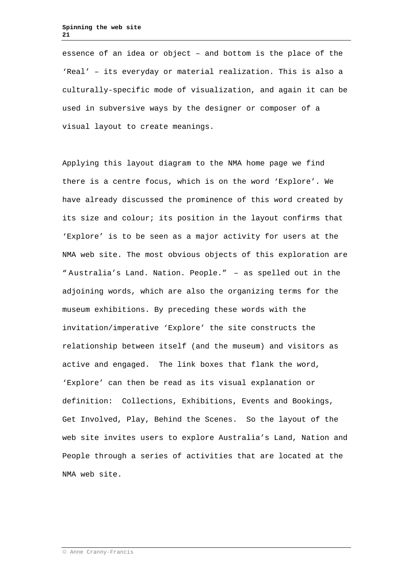essence of an idea or object – and bottom is the place of the 'Real' – its everyday or material realization. This is also a culturally-specific mode of visualization, and again it can be used in subversive ways by the designer or composer of a visual layout to create meanings.

Applying this layout diagram to the NMA home page we find there is a centre focus, which is on the word 'Explore'. We have already discussed the prominence of this word created by its size and colour; its position in the layout confirms that 'Explore' is to be seen as a major activity for users at the NMA web site. The most obvious objects of this exploration are " Australia's Land. Nation. People." – as spelled out in the adjoining words, which are also the organizing terms for the museum exhibitions. By preceding these words with the invitation/imperative 'Explore' the site constructs the relationship between itself (and the museum) and visitors as active and engaged. The link boxes that flank the word, 'Explore' can then be read as its visual explanation or definition: Collections, Exhibitions, Events and Bookings, Get Involved, Play, Behind the Scenes. So the layout of the web site invites users to explore Australia's Land, Nation and People through a series of activities that are located at the NMA web site.

Anne Cranny-Francis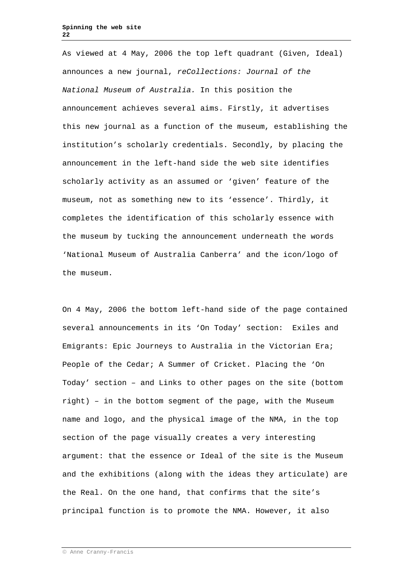As viewed at 4 May, 2006 the top left quadrant (Given, Ideal) announces a new journal, *reCollections: Journal of the National Museum of Australia.* In this position the announcement achieves several aims. Firstly, it advertises this new journal as a function of the museum, establishing the institution's scholarly credentials. Secondly, by placing the announcement in the left-hand side the web site identifies scholarly activity as an assumed or 'given' feature of the museum, not as something new to its 'essence'. Thirdly, it completes the identification of this scholarly essence with the museum by tucking the announcement underneath the words 'National Museum of Australia Canberra' and the icon/logo of the museum.

On 4 May, 2006 the bottom left-hand side of the page contained several announcements in its 'On Today' section: Exiles and Emigrants: Epic Journeys to Australia in the Victorian Era; People of the Cedar; A Summer of Cricket. Placing the 'On Today' section – and Links to other pages on the site (bottom right) – in the bottom segment of the page, with the Museum name and logo, and the physical image of the NMA, in the top section of the page visually creates a very interesting argument: that the essence or Ideal of the site is the Museum and the exhibitions (along with the ideas they articulate) are the Real. On the one hand, that confirms that the site's principal function is to promote the NMA. However, it also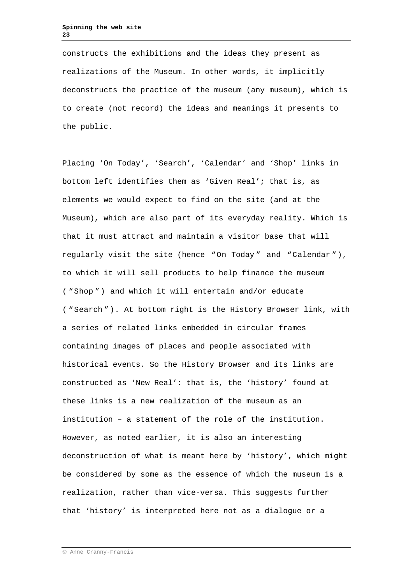constructs the exhibitions and the ideas they present as realizations of the Museum. In other words, it implicitly deconstructs the practice of the museum (any museum), which is to create (not record) the ideas and meanings it presents to the public.

Placing 'On Today', 'Search', 'Calendar' and 'Shop' links in bottom left identifies them as 'Given Real'; that is, as elements we would expect to find on the site (and at the Museum), which are also part of its everyday reality. Which is that it must attract and maintain a visitor base that will regularly visit the site (hence "On Today " and "Calendar "), to which it will sell products to help finance the museum ( "Shop ") and which it will entertain and/or educate ( "Search "). At bottom right is the History Browser link, with a series of related links embedded in circular frames containing images of places and people associated with historical events. So the History Browser and its links are constructed as 'New Real': that is, the 'history' found at these links is a new realization of the museum as an institution – a statement of the role of the institution. However, as noted earlier, it is also an interesting deconstruction of what is meant here by 'history', which might be considered by some as the essence of which the museum is a realization, rather than vice-versa. This suggests further that 'history' is interpreted here not as a dialogue or a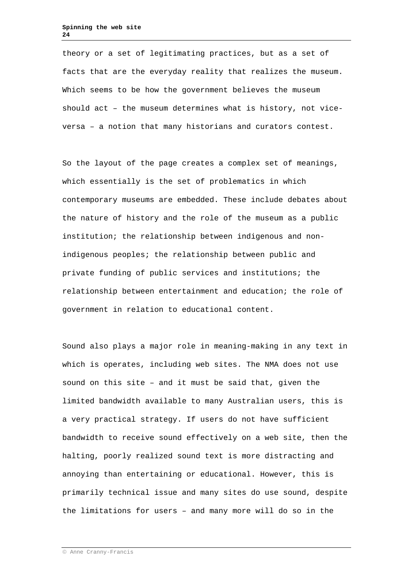theory or a set of legitimating practices, but as a set of facts that are the everyday reality that realizes the museum. Which seems to be how the government believes the museum should act – the museum determines what is history, not viceversa – a notion that many historians and curators contest.

So the layout of the page creates a complex set of meanings, which essentially is the set of problematics in which contemporary museums are embedded. These include debates about the nature of history and the role of the museum as a public institution; the relationship between indigenous and nonindigenous peoples; the relationship between public and private funding of public services and institutions; the relationship between entertainment and education; the role of government in relation to educational content.

Sound also plays a major role in meaning-making in any text in which is operates, including web sites. The NMA does not use sound on this site – and it must be said that, given the limited bandwidth available to many Australian users, this is a very practical strategy. If users do not have sufficient bandwidth to receive sound effectively on a web site, then the halting, poorly realized sound text is more distracting and annoying than entertaining or educational. However, this is primarily technical issue and many sites do use sound, despite the limitations for users – and many more will do so in the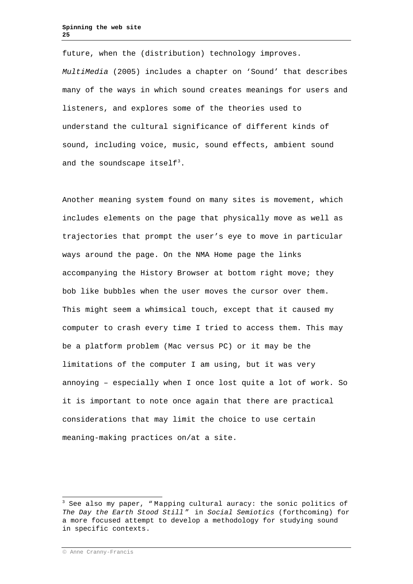future, when the (distribution) technology improves. *MultiMedia* (2005) includes a chapter on 'Sound' that describes many of the ways in which sound creates meanings for users and listeners, and explores some of the theories used to understand the cultural significance of different kinds of sound, including voice, music, sound effects, ambient sound and the soundscape itself $^3.$  $^3.$  $^3.$ 

Another meaning system found on many sites is movement, which includes elements on the page that physically move as well as trajectories that prompt the user's eye to move in particular ways around the page. On the NMA Home page the links accompanying the History Browser at bottom right move; they bob like bubbles when the user moves the cursor over them. This might seem a whimsical touch, except that it caused my computer to crash every time I tried to access them. This may be a platform problem (Mac versus PC) or it may be the limitations of the computer I am using, but it was very annoying – especially when I once lost quite a lot of work. So it is important to note once again that there are practical considerations that may limit the choice to use certain meaning-making practices on/at a site.

<span id="page-24-0"></span> $3$  See also my paper, "Mapping cultural auracy: the sonic politics of *The Day the Earth Stood Still* " in *Social Semiotics* (forthcoming) for a more focused attempt to develop a methodology for studying sound in specific contexts.

Anne Cranny-Francis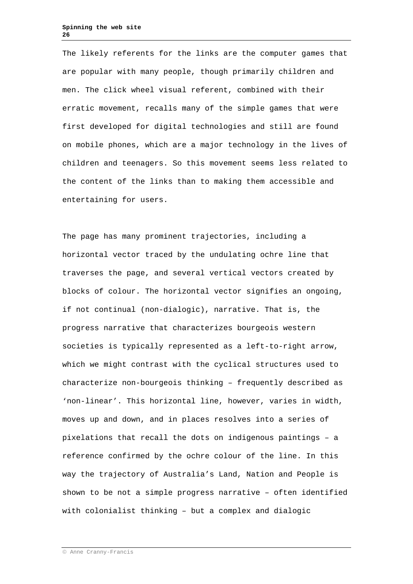The likely referents for the links are the computer games that are popular with many people, though primarily children and men. The click wheel visual referent, combined with their erratic movement, recalls many of the simple games that were first developed for digital technologies and still are found on mobile phones, which are a major technology in the lives of children and teenagers. So this movement seems less related to the content of the links than to making them accessible and entertaining for users.

The page has many prominent trajectories, including a horizontal vector traced by the undulating ochre line that traverses the page, and several vertical vectors created by blocks of colour. The horizontal vector signifies an ongoing, if not continual (non-dialogic), narrative. That is, the progress narrative that characterizes bourgeois western societies is typically represented as a left-to-right arrow, which we might contrast with the cyclical structures used to characterize non-bourgeois thinking – frequently described as 'non-linear'. This horizontal line, however, varies in width, moves up and down, and in places resolves into a series of pixelations that recall the dots on indigenous paintings – a reference confirmed by the ochre colour of the line. In this way the trajectory of Australia's Land, Nation and People is shown to be not a simple progress narrative – often identified with colonialist thinking – but a complex and dialogic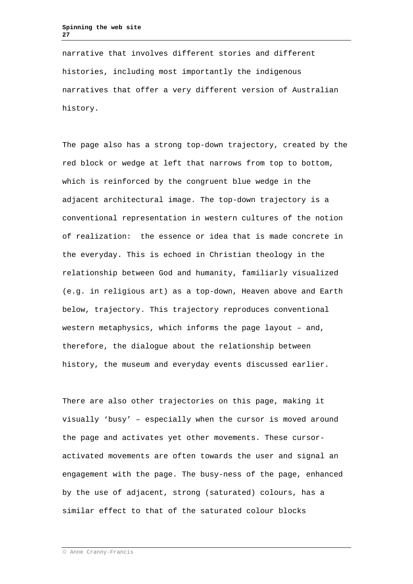narrative that involves different stories and different histories, including most importantly the indigenous narratives that offer a very different version of Australian history.

The page also has a strong top-down trajectory, created by the red block or wedge at left that narrows from top to bottom, which is reinforced by the congruent blue wedge in the adjacent architectural image. The top-down trajectory is a conventional representation in western cultures of the notion of realization: the essence or idea that is made concrete in the everyday. This is echoed in Christian theology in the relationship between God and humanity, familiarly visualized (e.g. in religious art) as a top-down, Heaven above and Earth below, trajectory. This trajectory reproduces conventional western metaphysics, which informs the page layout – and, therefore, the dialogue about the relationship between history, the museum and everyday events discussed earlier.

There are also other trajectories on this page, making it visually 'busy' – especially when the cursor is moved around the page and activates yet other movements. These cursoractivated movements are often towards the user and signal an engagement with the page. The busy-ness of the page, enhanced by the use of adjacent, strong (saturated) colours, has a similar effect to that of the saturated colour blocks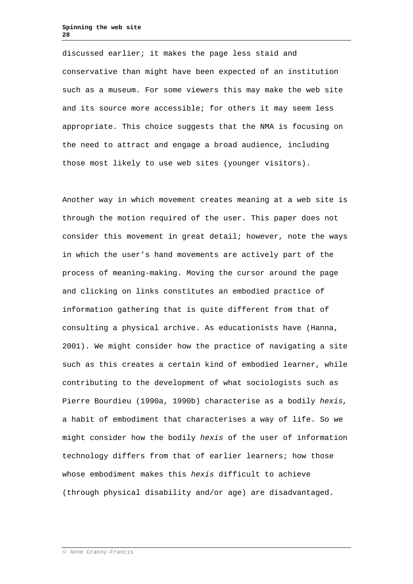discussed earlier; it makes the page less staid and conservative than might have been expected of an institution such as a museum. For some viewers this may make the web site and its source more accessible; for others it may seem less appropriate. This choice suggests that the NMA is focusing on the need to attract and engage a broad audience, including those most likely to use web sites (younger visitors).

Another way in which movement creates meaning at a web site is through the motion required of the user. This paper does not consider this movement in great detail; however, note the ways in which the user's hand movements are actively part of the process of meaning-making. Moving the cursor around the page and clicking on links constitutes an embodied practice of information gathering that is quite different from that of consulting a physical archive. As educationists have (Hanna, 2001). We might consider how the practice of navigating a site such as this creates a certain kind of embodied learner, while contributing to the development of what sociologists such as Pierre Bourdieu (1990a, 1990b) characterise as a bodily *hexis,*  a habit of embodiment that characterises a way of life. So we might consider how the bodily *hexis* of the user of information technology differs from that of earlier learners; how those whose embodiment makes this *hexis* difficult to achieve (through physical disability and/or age) are disadvantaged.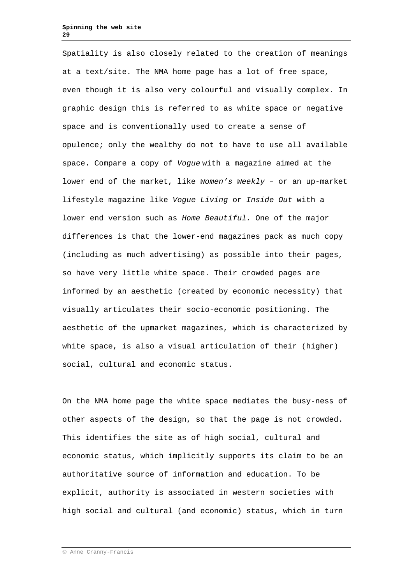Spatiality is also closely related to the creation of meanings at a text/site. The NMA home page has a lot of free space, even though it is also very colourful and visually complex. In graphic design this is referred to as white space or negative space and is conventionally used to create a sense of opulence; only the wealthy do not to have to use all available space. Compare a copy of *Vogue* with a magazine aimed at the lower end of the market, like *Women's Weekly* – or an up-market lifestyle magazine like *Vogue Living* or *Inside Out* with a lower end version such as *Home Beautiful.* One of the major differences is that the lower-end magazines pack as much copy (including as much advertising) as possible into their pages, so have very little white space. Their crowded pages are informed by an aesthetic (created by economic necessity) that visually articulates their socio-economic positioning. The aesthetic of the upmarket magazines, which is characterized by white space, is also a visual articulation of their (higher) social, cultural and economic status.

On the NMA home page the white space mediates the busy-ness of other aspects of the design, so that the page is not crowded. This identifies the site as of high social, cultural and economic status, which implicitly supports its claim to be an authoritative source of information and education. To be explicit, authority is associated in western societies with high social and cultural (and economic) status, which in turn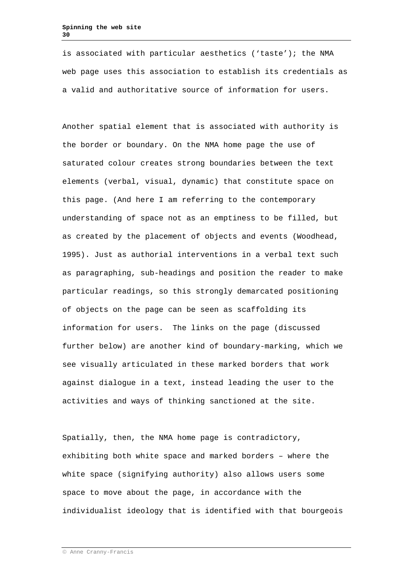is associated with particular aesthetics ('taste'); the NMA web page uses this association to establish its credentials as a valid and authoritative source of information for users.

Another spatial element that is associated with authority is the border or boundary. On the NMA home page the use of saturated colour creates strong boundaries between the text elements (verbal, visual, dynamic) that constitute space on this page. (And here I am referring to the contemporary understanding of space not as an emptiness to be filled, but as created by the placement of objects and events (Woodhead, 1995). Just as authorial interventions in a verbal text such as paragraphing, sub-headings and position the reader to make particular readings, so this strongly demarcated positioning of objects on the page can be seen as scaffolding its information for users. The links on the page (discussed further below) are another kind of boundary-marking, which we see visually articulated in these marked borders that work against dialogue in a text, instead leading the user to the activities and ways of thinking sanctioned at the site.

Spatially, then, the NMA home page is contradictory, exhibiting both white space and marked borders – where the white space (signifying authority) also allows users some space to move about the page, in accordance with the individualist ideology that is identified with that bourgeois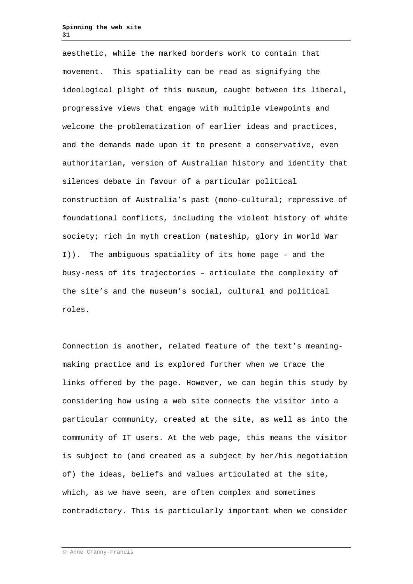aesthetic, while the marked borders work to contain that movement. This spatiality can be read as signifying the ideological plight of this museum, caught between its liberal, progressive views that engage with multiple viewpoints and welcome the problematization of earlier ideas and practices, and the demands made upon it to present a conservative, even authoritarian, version of Australian history and identity that silences debate in favour of a particular political construction of Australia's past (mono-cultural; repressive of foundational conflicts, including the violent history of white society; rich in myth creation (mateship, glory in World War I)). The ambiguous spatiality of its home page – and the busy-ness of its trajectories – articulate the complexity of the site's and the museum's social, cultural and political roles.

Connection is another, related feature of the text's meaningmaking practice and is explored further when we trace the links offered by the page. However, we can begin this study by considering how using a web site connects the visitor into a particular community, created at the site, as well as into the community of IT users. At the web page, this means the visitor is subject to (and created as a subject by her/his negotiation of) the ideas, beliefs and values articulated at the site, which, as we have seen, are often complex and sometimes contradictory. This is particularly important when we consider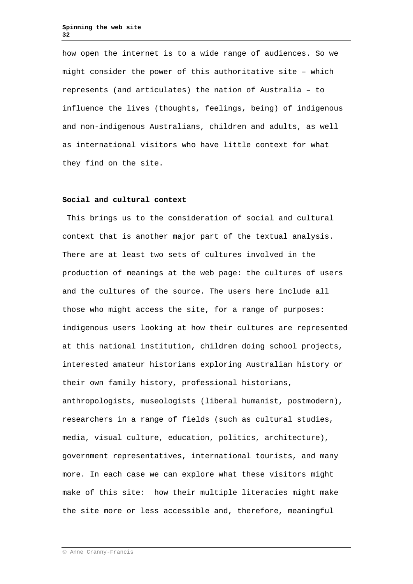how open the internet is to a wide range of audiences. So we might consider the power of this authoritative site – which represents (and articulates) the nation of Australia – to influence the lives (thoughts, feelings, being) of indigenous and non-indigenous Australians, children and adults, as well as international visitors who have little context for what they find on the site.

#### **Social and cultural context**

This brings us to the consideration of social and cultural context that is another major part of the textual analysis. There are at least two sets of cultures involved in the production of meanings at the web page: the cultures of users and the cultures of the source. The users here include all those who might access the site, for a range of purposes: indigenous users looking at how their cultures are represented at this national institution, children doing school projects, interested amateur historians exploring Australian history or their own family history, professional historians, anthropologists, museologists (liberal humanist, postmodern), researchers in a range of fields (such as cultural studies, media, visual culture, education, politics, architecture), government representatives, international tourists, and many more. In each case we can explore what these visitors might make of this site: how their multiple literacies might make the site more or less accessible and, therefore, meaningful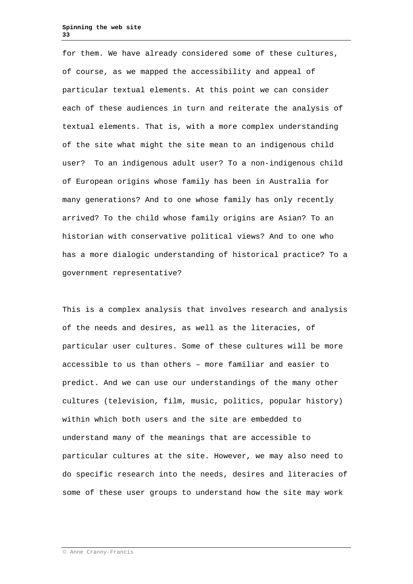for them. We have already considered some of these cultures, of course, as we mapped the accessibility and appeal of particular textual elements. At this point we can consider each of these audiences in turn and reiterate the analysis of textual elements. That is, with a more complex understanding of the site what might the site mean to an indigenous child user? To an indigenous adult user? To a non-indigenous child of European origins whose family has been in Australia for many generations? And to one whose family has only recently arrived? To the child whose family origins are Asian? To an historian with conservative political views? And to one who has a more dialogic understanding of historical practice? To a government representative?

This is a complex analysis that involves research and analysis of the needs and desires, as well as the literacies, of particular user cultures. Some of these cultures will be more accessible to us than others – more familiar and easier to predict. And we can use our understandings of the many other cultures (television, film, music, politics, popular history) within which both users and the site are embedded to understand many of the meanings that are accessible to particular cultures at the site. However, we may also need to do specific research into the needs, desires and literacies of some of these user groups to understand how the site may work

Anne Cranny-Francis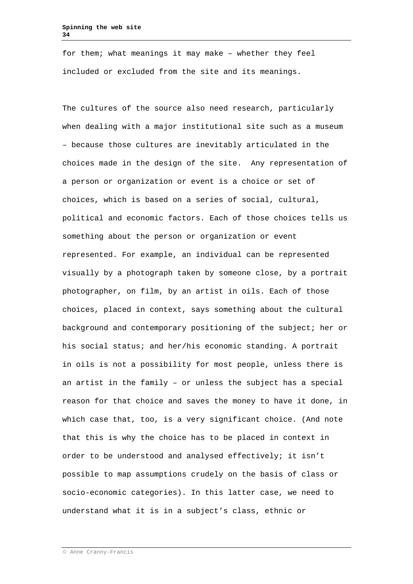for them; what meanings it may make – whether they feel included or excluded from the site and its meanings.

The cultures of the source also need research, particularly when dealing with a major institutional site such as a museum – because those cultures are inevitably articulated in the choices made in the design of the site. Any representation of a person or organization or event is a choice or set of choices, which is based on a series of social, cultural, political and economic factors. Each of those choices tells us something about the person or organization or event represented. For example, an individual can be represented visually by a photograph taken by someone close, by a portrait photographer, on film, by an artist in oils. Each of those choices, placed in context, says something about the cultural background and contemporary positioning of the subject; her or his social status; and her/his economic standing. A portrait in oils is not a possibility for most people, unless there is an artist in the family – or unless the subject has a special reason for that choice and saves the money to have it done, in which case that, too, is a very significant choice. (And note that this is why the choice has to be placed in context in order to be understood and analysed effectively; it isn't possible to map assumptions crudely on the basis of class or socio-economic categories). In this latter case, we need to understand what it is in a subject's class, ethnic or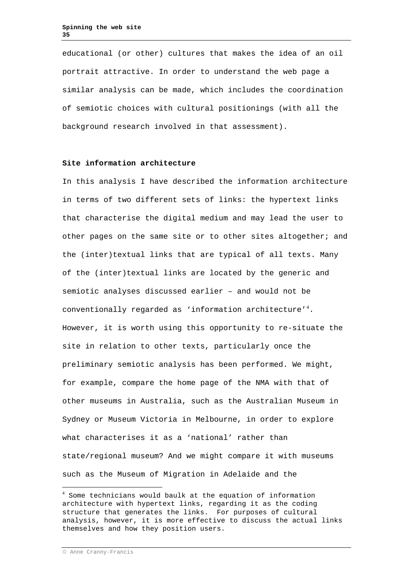educational (or other) cultures that makes the idea of an oil portrait attractive. In order to understand the web page a similar analysis can be made, which includes the coordination of semiotic choices with cultural positionings (with all the background research involved in that assessment).

## **Site information architecture**

In this analysis I have described the information architecture in terms of two different sets of links: the hypertext links that characterise the digital medium and may lead the user to other pages on the same site or to other sites altogether; and the (inter)textual links that are typical of all texts. Many of the (inter)textual links are located by the generic and semiotic analyses discussed earlier – and would not be conventionally regarded as 'information architecture'<sup>[4](#page-34-0)</sup>. However, it is worth using this opportunity to re-situate the site in relation to other texts, particularly once the preliminary semiotic analysis has been performed. We might, for example, compare the home page of the NMA with that of other museums in Australia, such as the Australian Museum in Sydney or Museum Victoria in Melbourne, in order to explore what characterises it as a 'national' rather than state/regional museum? And we might compare it with museums such as the Museum of Migration in Adelaide and the

<span id="page-34-0"></span><sup>4</sup> Some technicians would baulk at the equation of information architecture with hypertext links, regarding it as the coding structure that generates the links. For purposes of cultural analysis, however, it is more effective to discuss the actual links themselves and how they position users.

Anne Cranny-Francis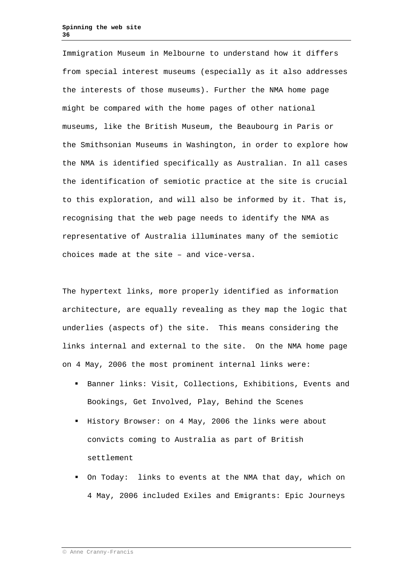Immigration Museum in Melbourne to understand how it differs from special interest museums (especially as it also addresses the interests of those museums). Further the NMA home page might be compared with the home pages of other national museums, like the British Museum, the Beaubourg in Paris or the Smithsonian Museums in Washington, in order to explore how the NMA is identified specifically as Australian. In all cases the identification of semiotic practice at the site is crucial to this exploration, and will also be informed by it. That is, recognising that the web page needs to identify the NMA as representative of Australia illuminates many of the semiotic choices made at the site – and vice-versa.

The hypertext links, more properly identified as information architecture, are equally revealing as they map the logic that underlies (aspects of) the site. This means considering the links internal and external to the site. On the NMA home page on 4 May, 2006 the most prominent internal links were:

- Banner links: Visit, Collections, Exhibitions, Events and Bookings, Get Involved, Play, Behind the Scenes
- History Browser: on 4 May, 2006 the links were about convicts coming to Australia as part of British settlement
- On Today: links to events at the NMA that day, which on 4 May, 2006 included Exiles and Emigrants: Epic Journeys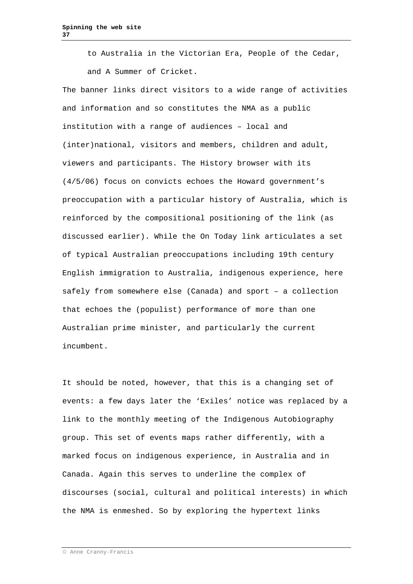to Australia in the Victorian Era, People of the Cedar, and A Summer of Cricket.

The banner links direct visitors to a wide range of activities and information and so constitutes the NMA as a public institution with a range of audiences – local and (inter)national, visitors and members, children and adult, viewers and participants. The History browser with its (4/5/06) focus on convicts echoes the Howard government's preoccupation with a particular history of Australia, which is reinforced by the compositional positioning of the link (as discussed earlier). While the On Today link articulates a set of typical Australian preoccupations including 19th century English immigration to Australia, indigenous experience, here safely from somewhere else (Canada) and sport – a collection that echoes the (populist) performance of more than one Australian prime minister, and particularly the current incumbent.

It should be noted, however, that this is a changing set of events: a few days later the 'Exiles' notice was replaced by a link to the monthly meeting of the Indigenous Autobiography group. This set of events maps rather differently, with a marked focus on indigenous experience, in Australia and in Canada. Again this serves to underline the complex of discourses (social, cultural and political interests) in which the NMA is enmeshed. So by exploring the hypertext links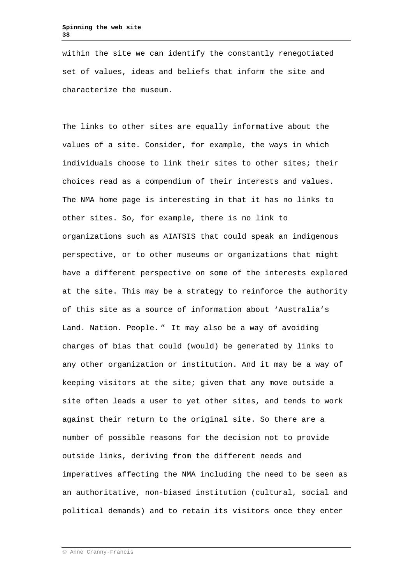within the site we can identify the constantly renegotiated set of values, ideas and beliefs that inform the site and characterize the museum.

The links to other sites are equally informative about the values of a site. Consider, for example, the ways in which individuals choose to link their sites to other sites; their choices read as a compendium of their interests and values. The NMA home page is interesting in that it has no links to other sites. So, for example, there is no link to organizations such as AIATSIS that could speak an indigenous perspective, or to other museums or organizations that might have a different perspective on some of the interests explored at the site. This may be a strategy to reinforce the authority of this site as a source of information about 'Australia's Land. Nation. People. " It may also be a way of avoiding charges of bias that could (would) be generated by links to any other organization or institution. And it may be a way of keeping visitors at the site; given that any move outside a site often leads a user to yet other sites, and tends to work against their return to the original site. So there are a number of possible reasons for the decision not to provide outside links, deriving from the different needs and imperatives affecting the NMA including the need to be seen as an authoritative, non-biased institution (cultural, social and political demands) and to retain its visitors once they enter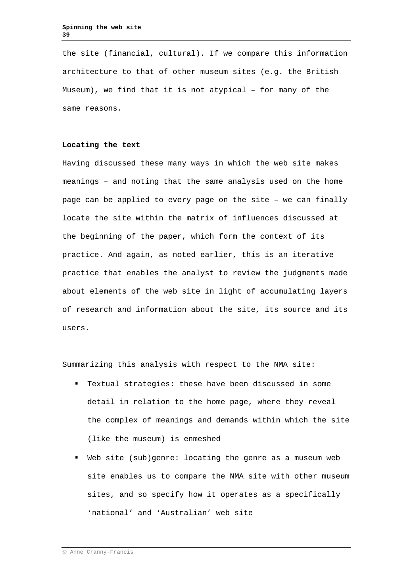the site (financial, cultural). If we compare this information architecture to that of other museum sites (e.g. the British Museum), we find that it is not atypical – for many of the same reasons.

# **Locating the text**

Having discussed these many ways in which the web site makes meanings – and noting that the same analysis used on the home page can be applied to every page on the site – we can finally locate the site within the matrix of influences discussed at the beginning of the paper, which form the context of its practice. And again, as noted earlier, this is an iterative practice that enables the analyst to review the judgments made about elements of the web site in light of accumulating layers of research and information about the site, its source and its users.

Summarizing this analysis with respect to the NMA site:

- Textual strategies: these have been discussed in some detail in relation to the home page, where they reveal the complex of meanings and demands within which the site (like the museum) is enmeshed
- Web site (sub)genre: locating the genre as a museum web site enables us to compare the NMA site with other museum sites, and so specify how it operates as a specifically 'national' and 'Australian' web site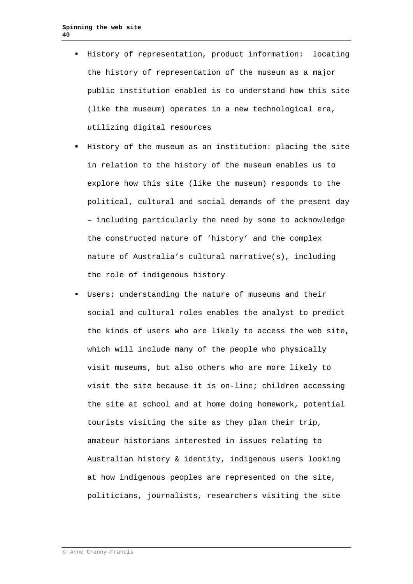- History of representation, product information: locating the history of representation of the museum as a major public institution enabled is to understand how this site (like the museum) operates in a new technological era, utilizing digital resources
- History of the museum as an institution: placing the site in relation to the history of the museum enables us to explore how this site (like the museum) responds to the political, cultural and social demands of the present day – including particularly the need by some to acknowledge the constructed nature of 'history' and the complex nature of Australia's cultural narrative(s), including the role of indigenous history
- Users: understanding the nature of museums and their social and cultural roles enables the analyst to predict the kinds of users who are likely to access the web site, which will include many of the people who physically visit museums, but also others who are more likely to visit the site because it is on-line; children accessing the site at school and at home doing homework, potential tourists visiting the site as they plan their trip, amateur historians interested in issues relating to Australian history & identity, indigenous users looking at how indigenous peoples are represented on the site, politicians, journalists, researchers visiting the site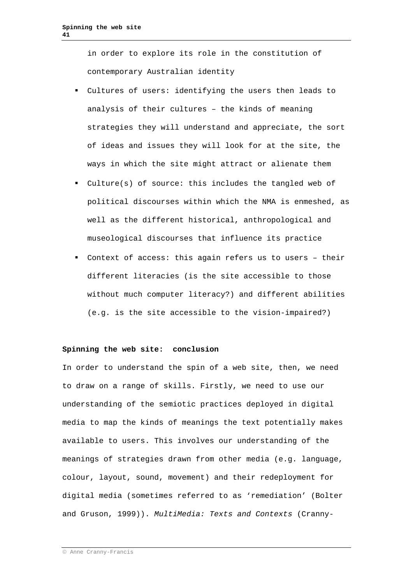in order to explore its role in the constitution of contemporary Australian identity

- Cultures of users: identifying the users then leads to analysis of their cultures – the kinds of meaning strategies they will understand and appreciate, the sort of ideas and issues they will look for at the site, the ways in which the site might attract or alienate them
- Culture(s) of source: this includes the tangled web of political discourses within which the NMA is enmeshed, as well as the different historical, anthropological and museological discourses that influence its practice
- Context of access: this again refers us to users their different literacies (is the site accessible to those without much computer literacy?) and different abilities (e.g. is the site accessible to the vision-impaired?)

### **Spinning the web site: conclusion**

In order to understand the spin of a web site, then, we need to draw on a range of skills. Firstly, we need to use our understanding of the semiotic practices deployed in digital media to map the kinds of meanings the text potentially makes available to users. This involves our understanding of the meanings of strategies drawn from other media (e.g. language, colour, layout, sound, movement) and their redeployment for digital media (sometimes referred to as 'remediation' (Bolter and Gruson, 1999)). *MultiMedia: Texts and Contexts* (Cranny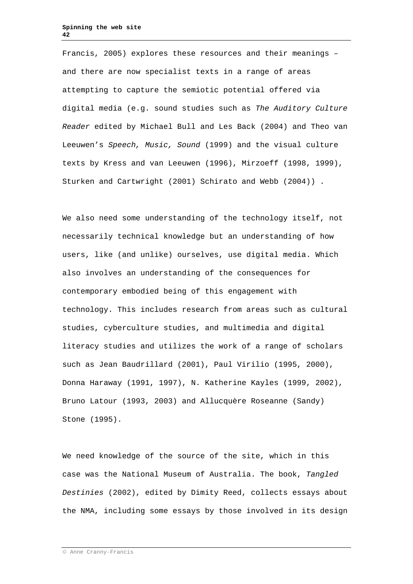Francis, 2005) explores these resources and their meanings – and there are now specialist texts in a range of areas attempting to capture the semiotic potential offered via digital media (e.g. sound studies such as *The Auditory Culture Reader* edited by Michael Bull and Les Back (2004) and Theo van Leeuwen's *Speech, Music, Sound* (1999) and the visual culture texts by Kress and van Leeuwen (1996), Mirzoeff (1998, 1999), Sturken and Cartwright (2001) Schirato and Webb (2004)) .

We also need some understanding of the technology itself, not necessarily technical knowledge but an understanding of how users, like (and unlike) ourselves, use digital media. Which also involves an understanding of the consequences for contemporary embodied being of this engagement with technology. This includes research from areas such as cultural studies, cyberculture studies, and multimedia and digital literacy studies and utilizes the work of a range of scholars such as Jean Baudrillard (2001), Paul Virilio (1995, 2000), Donna Haraway (1991, 1997), N. Katherine Kayles (1999, 2002), Bruno Latour (1993, 2003) and Allucquère Roseanne (Sandy) Stone (1995).

We need knowledge of the source of the site, which in this case was the National Museum of Australia. The book, *Tangled Destinies* (2002), edited by Dimity Reed, collects essays about the NMA, including some essays by those involved in its design

Anne Cranny-Francis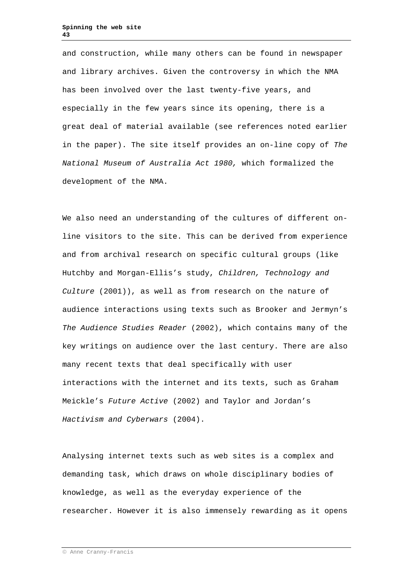and construction, while many others can be found in newspaper and library archives. Given the controversy in which the NMA has been involved over the last twenty-five years, and especially in the few years since its opening, there is a great deal of material available (see references noted earlier in the paper). The site itself provides an on-line copy of *The National Museum of Australia Act 1980,* which formalized the development of the NMA.

We also need an understanding of the cultures of different online visitors to the site. This can be derived from experience and from archival research on specific cultural groups (like Hutchby and Morgan-Ellis's study, *Children, Technology and Culture* (2001)), as well as from research on the nature of audience interactions using texts such as Brooker and Jermyn's *The Audience Studies Reader* (2002), which contains many of the key writings on audience over the last century. There are also many recent texts that deal specifically with user interactions with the internet and its texts, such as Graham Meickle's *Future Active* (2002) and Taylor and Jordan's *Hactivism and Cyberwars* (2004).

Analysing internet texts such as web sites is a complex and demanding task, which draws on whole disciplinary bodies of knowledge, as well as the everyday experience of the researcher. However it is also immensely rewarding as it opens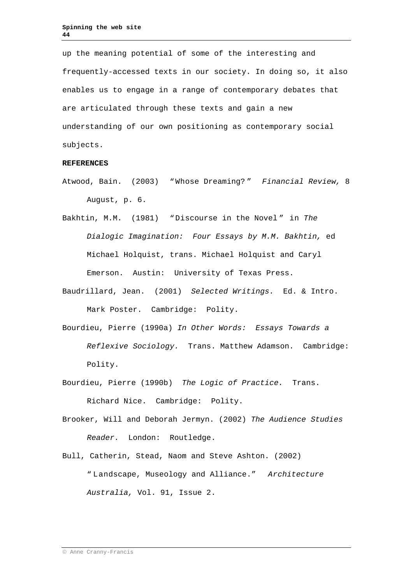up the meaning potential of some of the interesting and frequently-accessed texts in our society. In doing so, it also enables us to engage in a range of contemporary debates that are articulated through these texts and gain a new understanding of our own positioning as contemporary social subjects.

### **REFERENCES**

- Atwood, Bain. (2003) "Whose Dreaming? " *Financial Review,* 8 August, p. 6.
- Bakhtin, M.M. (1981) "Discourse in the Novel " in *The Dialogic Imagination: Four Essays by M.M. Bakhtin,* ed Michael Holquist, trans. Michael Holquist and Caryl Emerson. Austin: University of Texas Press.
- Baudrillard, Jean. (2001) *Selected Writings.* Ed. & Intro. Mark Poster. Cambridge: Polity.
- Bourdieu, Pierre (1990a) *In Other Words: Essays Towards a Reflexive Sociology.* Trans. Matthew Adamson. Cambridge: Polity.
- Bourdieu, Pierre (1990b) *The Logic of Practice.* Trans. Richard Nice. Cambridge: Polity.
- Brooker, Will and Deborah Jermyn. (2002) *The Audience Studies Reader.* London: Routledge.
- Bull, Catherin, Stead, Naom and Steve Ashton. (2002) " Landscape, Museology and Alliance." *Architecture Australia,* Vol. 91, Issue 2.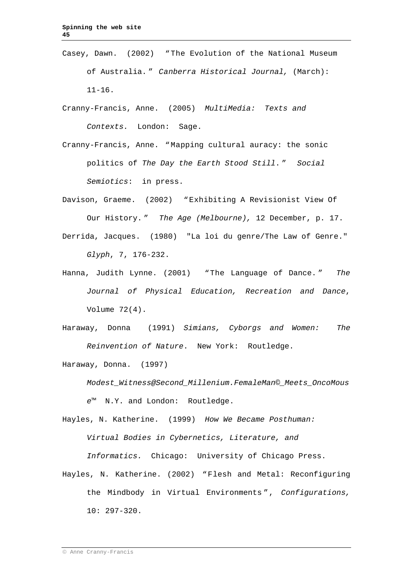Casey, Dawn. (2002) "The Evolution of the National Museum of Australia. " *Canberra Historical Journal,* (March): 11-16.

Cranny-Francis, Anne. (2005) *MultiMedia: Texts and Contexts.* London: Sage.

Cranny-Francis, Anne. "Mapping cultural auracy: the sonic politics of *The Day the Earth Stood Still*. " *Social Semiotics*: in press.

Davison, Graeme. (2002) "Exhibiting A Revisionist View Of Our History. " *The Age (Melbourne),* 12 December, p. 17. Derrida, Jacques. (1980) "La loi du genre/The Law of Genre." *Glyph*, 7, 176-232.

- Hanna, Judith Lynne. (2001) "The Language of Dance. " *The Journal of Physical Education, Recreation and Dance*, Volume 72(4).
- Haraway, Donna (1991) *Simians, Cyborgs and Women: The Reinvention of Nature*. New York: Routledge.

Haraway, Donna. (1997)

*Modest\_Witness@Second\_Millenium.FemaleMan©\_Meets\_OncoMous e™* N.Y. and London: Routledge.

Hayles, N. Katherine. (1999) *How We Became Posthuman: Virtual Bodies in Cybernetics, Literature, and Informatics.* Chicago: University of Chicago Press.

Hayles, N. Katherine. (2002) "Flesh and Metal: Reconfiguring the Mindbody in Virtual Environments ", *Configurations,*  10: 297-320.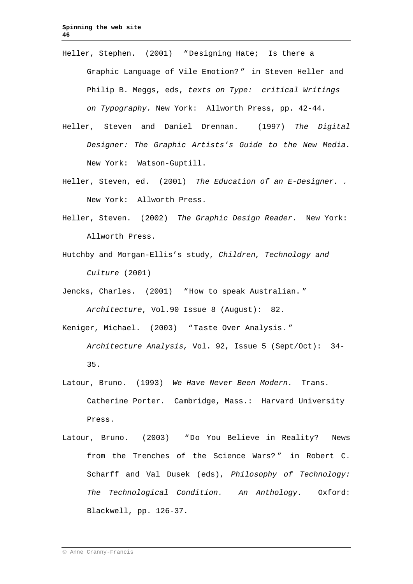- Heller, Stephen. (2001) "Designing Hate; Is there a Graphic Language of Vile Emotion? " in Steven Heller and Philip B. Meggs, eds, *texts on Type: critical Writings on Typography.* New York: Allworth Press, pp. 42-44.
- Heller, Steven and Daniel Drennan. (1997) *The Digital Designer: The Graphic Artists's Guide to the New Media.*  New York: Watson-Guptill.
- Heller, Steven, ed. (2001) *The Education of an E-Designer. .*  New York: Allworth Press.
- Heller, Steven. (2002) *The Graphic Design Reader.* New York: Allworth Press.
- Hutchby and Morgan-Ellis's study, *Children, Technology and Culture* (2001)

Jencks, Charles. (2001) "How to speak Australian. "

*Architecture*, Vol.90 Issue 8 (August): 82.

Keniger, Michael. (2003) "Taste Over Analysis. "

```
Architecture Analysis, Vol. 92, Issue 5 (Sept/Oct): 34-
35.
```
- Latour, Bruno. (1993) *We Have Never Been Modern.* Trans. Catherine Porter. Cambridge, Mass.: Harvard University Press.
- Latour, Bruno. (2003) "Do You Believe in Reality? News from the Trenches of the Science Wars? " in Robert C. Scharff and Val Dusek (eds), *Philosophy of Technology: The Technological Condition. An Anthology.* Oxford: Blackwell, pp. 126-37.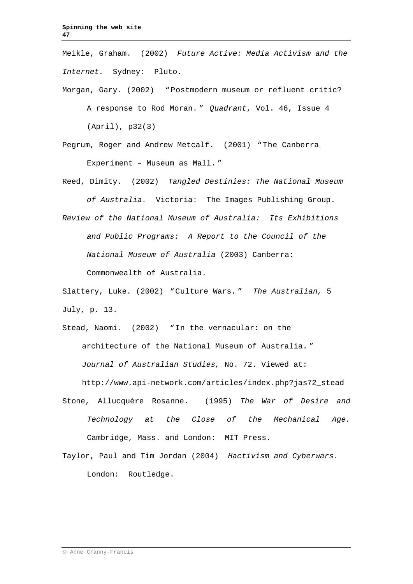Meikle, Graham. (2002) *Future Active: Media Activism and the Internet.* Sydney: Pluto.

- Morgan, Gary. (2002) "Postmodern museum or refluent critic? A response to Rod Moran. " *Quadrant*, Vol. 46, Issue 4 (April), p32(3)
- Pegrum, Roger and Andrew Metcalf. (2001) "The Canberra Experiment – Museum as Mall. "
- Reed, Dimity. (2002) *Tangled Destinies: The National Museum of Australia.* Victoria: The Images Publishing Group.
- *Review of the National Museum of Australia: Its Exhibitions and Public Programs: A Report to the Council of the National Museum of Australia* (2003) Canberra: Commonwealth of Australia.

Slattery, Luke. (2002) "Culture Wars. " *The Australian,* 5 July, p. 13.

- Stead, Naomi. (2002) "In the vernacular: on the architecture of the National Museum of Australia. " *Journal of Australian Studies,* No. 72. Viewed at: http://www.api-network.com/articles/index.php?jas72\_stead
- Stone, Allucquère Rosanne. (1995) *The War of Desire and Technology at the Close of the Mechanical Age.*  Cambridge, Mass. and London: MIT Press.
- Taylor, Paul and Tim Jordan (2004) *Hactivism and Cyberwars.*  London: Routledge.